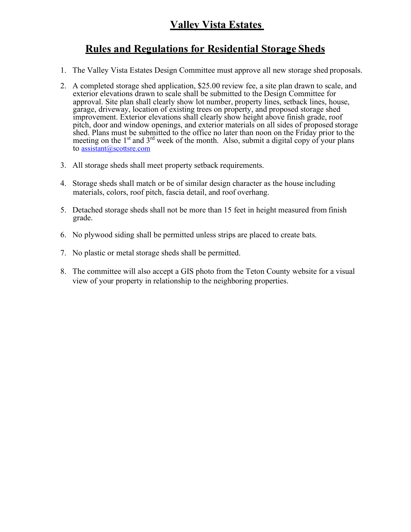## **Valley Vista Estates**

## **Rules and Regulations for Residential Storage Sheds**

- 1. The Valley Vista Estates Design Committee must approve all new storage shed proposals.
- 2. A completed storage shed application, \$25.00 review fee, a site plan drawn to scale, and exterior elevations drawn to scale shall be submitted to the Design Committee for approval. Site plan shall clearly show lot number, property lines, setback lines, house, garage, driveway, location of existing trees on property, and proposed storage shed improvement. Exterior elevations shall clearly show height above finish grade, roof pitch, door and window openings, and exterior materials on all sides of proposed storage shed. Plans must be submitted to the office no later than noon on the Friday prior to the meeting on the  $1<sup>st</sup>$  and  $3<sup>rd</sup>$  week of the month. Also, submit a digital copy of your plans to [assistant@scottsre.com](mailto:assistant@scottsre.com)
- 3. All storage sheds shall meet property setback requirements.
- 4. Storage sheds shall match or be of similar design character as the house including materials, colors, roof pitch, fascia detail, and roof overhang.
- 5. Detached storage sheds shall not be more than 15 feet in height measured from finish grade.
- 6. No plywood siding shall be permitted unless strips are placed to create bats.
- 7. No plastic or metal storage sheds shall be permitted.
- 8. The committee will also accept a GIS photo from the Teton County website for a visual view of your property in relationship to the neighboring properties.